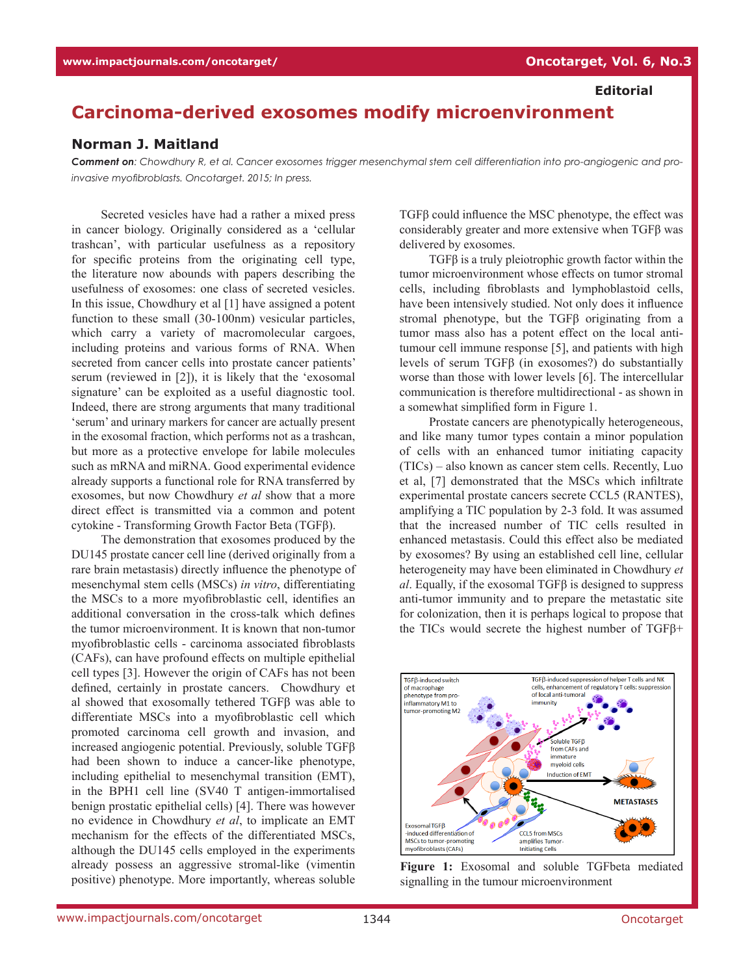**Editorial**

## **Carcinoma-derived exosomes modify microenvironment**

## **Norman J. Maitland**

*Comment on: Chowdhury R, et al. Cancer exosomes trigger mesenchymal stem cell differentiation into pro-angiogenic and proinvasive myofibroblasts. Oncotarget. 2015; In press.*

Secreted vesicles have had a rather a mixed press in cancer biology. Originally considered as a 'cellular trashcan', with particular usefulness as a repository for specific proteins from the originating cell type, the literature now abounds with papers describing the usefulness of exosomes: one class of secreted vesicles. In this issue, Chowdhury et al [1] have assigned a potent function to these small (30-100nm) vesicular particles, which carry a variety of macromolecular cargoes, including proteins and various forms of RNA. When secreted from cancer cells into prostate cancer patients' serum (reviewed in [2]), it is likely that the 'exosomal signature' can be exploited as a useful diagnostic tool. Indeed, there are strong arguments that many traditional 'serum' and urinary markers for cancer are actually present in the exosomal fraction, which performs not as a trashcan, but more as a protective envelope for labile molecules such as mRNA and miRNA. Good experimental evidence already supports a functional role for RNA transferred by exosomes, but now Chowdhury *et al* show that a more direct effect is transmitted via a common and potent cytokine - Transforming Growth Factor Beta (TGFβ).

The demonstration that exosomes produced by the DU145 prostate cancer cell line (derived originally from a rare brain metastasis) directly influence the phenotype of mesenchymal stem cells (MSCs) *in vitro*, differentiating the MSCs to a more myofibroblastic cell, identifies an additional conversation in the cross-talk which defines the tumor microenvironment. It is known that non-tumor myofibroblastic cells - carcinoma associated fibroblasts (CAFs), can have profound effects on multiple epithelial cell types [3]. However the origin of CAFs has not been defined, certainly in prostate cancers. Chowdhury et al showed that exosomally tethered TGFβ was able to differentiate MSCs into a myofibroblastic cell which promoted carcinoma cell growth and invasion, and increased angiogenic potential. Previously, soluble TGFβ had been shown to induce a cancer-like phenotype, including epithelial to mesenchymal transition (EMT), in the BPH1 cell line (SV40 T antigen-immortalised benign prostatic epithelial cells) [4]. There was however no evidence in Chowdhury *et al*, to implicate an EMT mechanism for the effects of the differentiated MSCs, although the DU145 cells employed in the experiments already possess an aggressive stromal-like (vimentin positive) phenotype. More importantly, whereas soluble

TGFβ could influence the MSC phenotype, the effect was considerably greater and more extensive when TGFβ was delivered by exosomes.

TGFβ is a truly pleiotrophic growth factor within the tumor microenvironment whose effects on tumor stromal cells, including fibroblasts and lymphoblastoid cells, have been intensively studied. Not only does it influence stromal phenotype, but the TGFβ originating from a tumor mass also has a potent effect on the local antitumour cell immune response [5], and patients with high levels of serum TGFβ (in exosomes?) do substantially worse than those with lower levels [6]. The intercellular communication is therefore multidirectional - as shown in a somewhat simplified form in Figure 1.

Prostate cancers are phenotypically heterogeneous, and like many tumor types contain a minor population of cells with an enhanced tumor initiating capacity (TICs) – also known as cancer stem cells. Recently, Luo et al, [7] demonstrated that the MSCs which infiltrate experimental prostate cancers secrete CCL5 (RANTES), amplifying a TIC population by 2-3 fold. It was assumed that the increased number of TIC cells resulted in enhanced metastasis. Could this effect also be mediated by exosomes? By using an established cell line, cellular heterogeneity may have been eliminated in Chowdhury *et al*. Equally, if the exosomal TGFβ is designed to suppress anti-tumor immunity and to prepare the metastatic site for colonization, then it is perhaps logical to propose that the TICs would secrete the highest number of TGFβ+



**Figure 1:** Exosomal and soluble TGFbeta mediated signalling in the tumour microenvironment